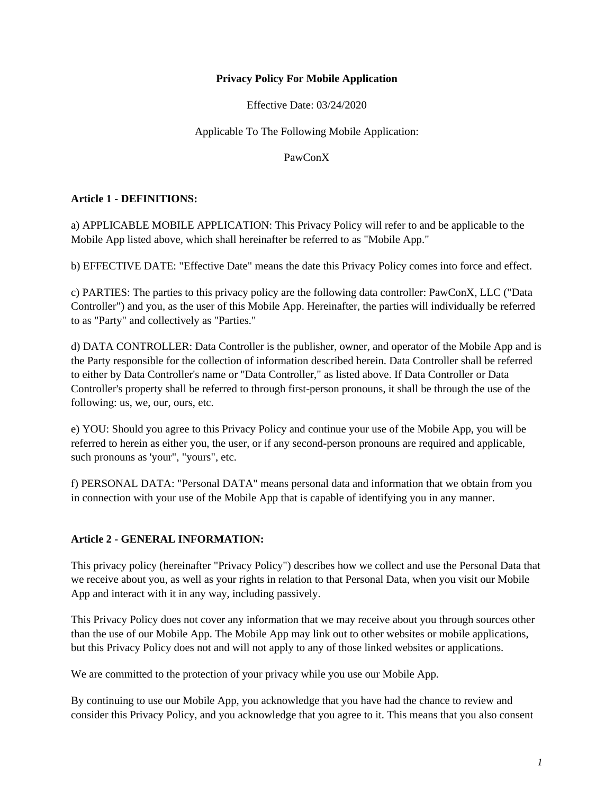### **Privacy Policy For Mobile Application**

Effective Date: 03/24/2020

# Applicable To The Following Mobile Application:

PawConX

# **Article 1 - DEFINITIONS:**

a) APPLICABLE MOBILE APPLICATION: This Privacy Policy will refer to and be applicable to the Mobile App listed above, which shall hereinafter be referred to as "Mobile App."

b) EFFECTIVE DATE: "Effective Date" means the date this Privacy Policy comes into force and effect.

c) PARTIES: The parties to this privacy policy are the following data controller: PawConX, LLC ("Data Controller") and you, as the user of this Mobile App. Hereinafter, the parties will individually be referred to as "Party" and collectively as "Parties."

d) DATA CONTROLLER: Data Controller is the publisher, owner, and operator of the Mobile App and is the Party responsible for the collection of information described herein. Data Controller shall be referred to either by Data Controller's name or "Data Controller," as listed above. If Data Controller or Data Controller's property shall be referred to through first-person pronouns, it shall be through the use of the following: us, we, our, ours, etc.

e) YOU: Should you agree to this Privacy Policy and continue your use of the Mobile App, you will be referred to herein as either you, the user, or if any second-person pronouns are required and applicable, such pronouns as 'your", "yours", etc.

f) PERSONAL DATA: "Personal DATA" means personal data and information that we obtain from you in connection with your use of the Mobile App that is capable of identifying you in any manner.

# **Article 2 - GENERAL INFORMATION:**

This privacy policy (hereinafter "Privacy Policy") describes how we collect and use the Personal Data that we receive about you, as well as your rights in relation to that Personal Data, when you visit our Mobile App and interact with it in any way, including passively.

This Privacy Policy does not cover any information that we may receive about you through sources other than the use of our Mobile App. The Mobile App may link out to other websites or mobile applications, but this Privacy Policy does not and will not apply to any of those linked websites or applications.

We are committed to the protection of your privacy while you use our Mobile App.

By continuing to use our Mobile App, you acknowledge that you have had the chance to review and consider this Privacy Policy, and you acknowledge that you agree to it. This means that you also consent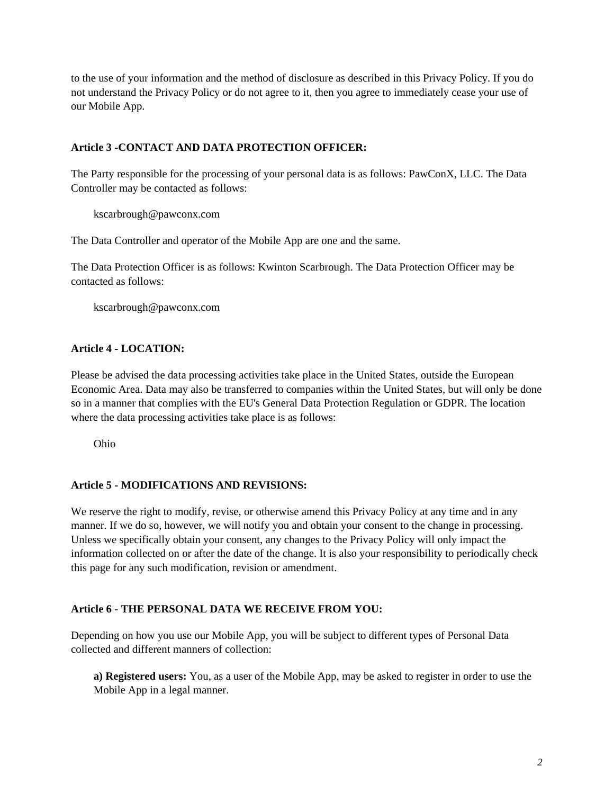to the use of your information and the method of disclosure as described in this Privacy Policy. If you do not understand the Privacy Policy or do not agree to it, then you agree to immediately cease your use of our Mobile App.

# **Article 3 -CONTACT AND DATA PROTECTION OFFICER:**

The Party responsible for the processing of your personal data is as follows: PawConX, LLC. The Data Controller may be contacted as follows:

kscarbrough@pawconx.com

The Data Controller and operator of the Mobile App are one and the same.

The Data Protection Officer is as follows: Kwinton Scarbrough. The Data Protection Officer may be contacted as follows:

kscarbrough@pawconx.com

# **Article 4 - LOCATION:**

Please be advised the data processing activities take place in the United States, outside the European Economic Area. Data may also be transferred to companies within the United States, but will only be done so in a manner that complies with the EU's General Data Protection Regulation or GDPR. The location where the data processing activities take place is as follows:

Ohio

# **Article 5 - MODIFICATIONS AND REVISIONS:**

We reserve the right to modify, revise, or otherwise amend this Privacy Policy at any time and in any manner. If we do so, however, we will notify you and obtain your consent to the change in processing. Unless we specifically obtain your consent, any changes to the Privacy Policy will only impact the information collected on or after the date of the change. It is also your responsibility to periodically check this page for any such modification, revision or amendment.

# **Article 6 - THE PERSONAL DATA WE RECEIVE FROM YOU:**

Depending on how you use our Mobile App, you will be subject to different types of Personal Data collected and different manners of collection:

**a) Registered users:** You, as a user of the Mobile App, may be asked to register in order to use the Mobile App in a legal manner.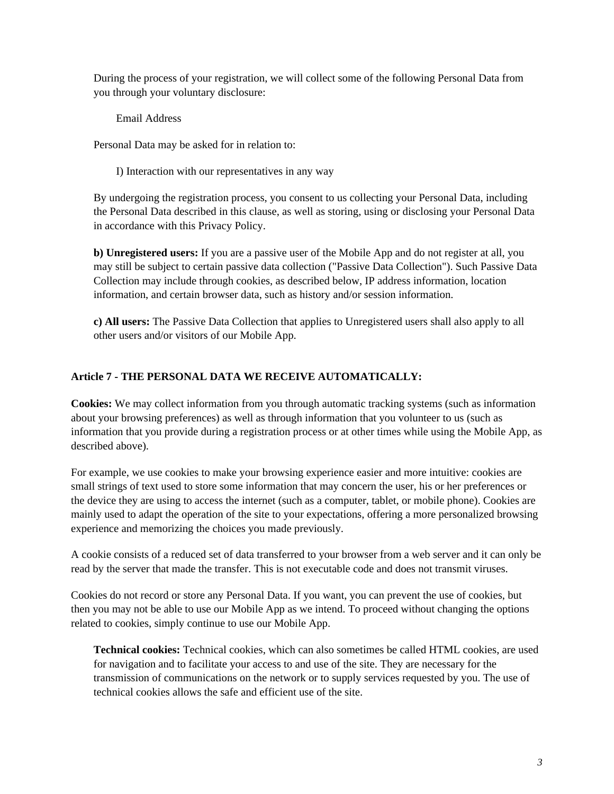During the process of your registration, we will collect some of the following Personal Data from you through your voluntary disclosure:

Email Address

Personal Data may be asked for in relation to:

I) Interaction with our representatives in any way

By undergoing the registration process, you consent to us collecting your Personal Data, including the Personal Data described in this clause, as well as storing, using or disclosing your Personal Data in accordance with this Privacy Policy.

**b) Unregistered users:** If you are a passive user of the Mobile App and do not register at all, you may still be subject to certain passive data collection ("Passive Data Collection"). Such Passive Data Collection may include through cookies, as described below, IP address information, location information, and certain browser data, such as history and/or session information.

**c) All users:** The Passive Data Collection that applies to Unregistered users shall also apply to all other users and/or visitors of our Mobile App.

# **Article 7 - THE PERSONAL DATA WE RECEIVE AUTOMATICALLY:**

**Cookies:** We may collect information from you through automatic tracking systems (such as information about your browsing preferences) as well as through information that you volunteer to us (such as information that you provide during a registration process or at other times while using the Mobile App, as described above).

For example, we use cookies to make your browsing experience easier and more intuitive: cookies are small strings of text used to store some information that may concern the user, his or her preferences or the device they are using to access the internet (such as a computer, tablet, or mobile phone). Cookies are mainly used to adapt the operation of the site to your expectations, offering a more personalized browsing experience and memorizing the choices you made previously.

A cookie consists of a reduced set of data transferred to your browser from a web server and it can only be read by the server that made the transfer. This is not executable code and does not transmit viruses.

Cookies do not record or store any Personal Data. If you want, you can prevent the use of cookies, but then you may not be able to use our Mobile App as we intend. To proceed without changing the options related to cookies, simply continue to use our Mobile App.

**Technical cookies:** Technical cookies, which can also sometimes be called HTML cookies, are used for navigation and to facilitate your access to and use of the site. They are necessary for the transmission of communications on the network or to supply services requested by you. The use of technical cookies allows the safe and efficient use of the site.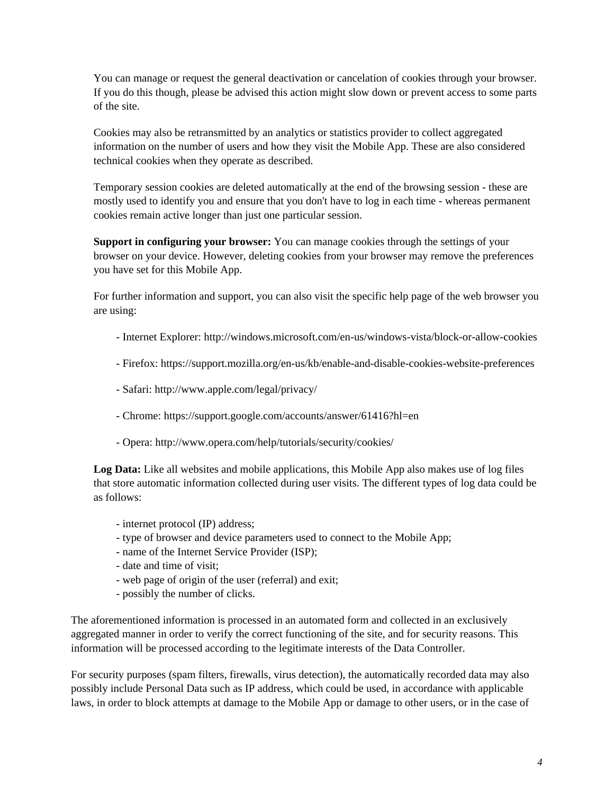You can manage or request the general deactivation or cancelation of cookies through your browser. If you do this though, please be advised this action might slow down or prevent access to some parts of the site.

Cookies may also be retransmitted by an analytics or statistics provider to collect aggregated information on the number of users and how they visit the Mobile App. These are also considered technical cookies when they operate as described.

Temporary session cookies are deleted automatically at the end of the browsing session - these are mostly used to identify you and ensure that you don't have to log in each time - whereas permanent cookies remain active longer than just one particular session.

**Support in configuring your browser:** You can manage cookies through the settings of your browser on your device. However, deleting cookies from your browser may remove the preferences you have set for this Mobile App.

For further information and support, you can also visit the specific help page of the web browser you are using:

- Internet Explorer: http://windows.microsoft.com/en-us/windows-vista/block-or-allow-cookies
- Firefox: https://support.mozilla.org/en-us/kb/enable-and-disable-cookies-website-preferences
- Safari: http://www.apple.com/legal/privacy/
- Chrome: https://support.google.com/accounts/answer/61416?hl=en
- Opera: http://www.opera.com/help/tutorials/security/cookies/

**Log Data:** Like all websites and mobile applications, this Mobile App also makes use of log files that store automatic information collected during user visits. The different types of log data could be as follows:

- internet protocol (IP) address;
- type of browser and device parameters used to connect to the Mobile App;
- name of the Internet Service Provider (ISP);
- date and time of visit;
- web page of origin of the user (referral) and exit;
- possibly the number of clicks.

The aforementioned information is processed in an automated form and collected in an exclusively aggregated manner in order to verify the correct functioning of the site, and for security reasons. This information will be processed according to the legitimate interests of the Data Controller.

For security purposes (spam filters, firewalls, virus detection), the automatically recorded data may also possibly include Personal Data such as IP address, which could be used, in accordance with applicable laws, in order to block attempts at damage to the Mobile App or damage to other users, or in the case of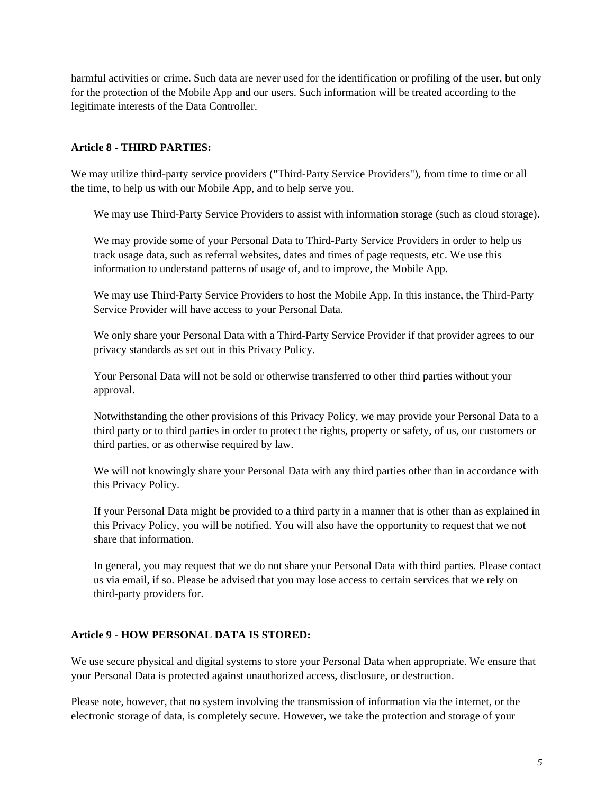harmful activities or crime. Such data are never used for the identification or profiling of the user, but only for the protection of the Mobile App and our users. Such information will be treated according to the legitimate interests of the Data Controller.

## **Article 8 - THIRD PARTIES:**

We may utilize third-party service providers ("Third-Party Service Providers"), from time to time or all the time, to help us with our Mobile App, and to help serve you.

We may use Third-Party Service Providers to assist with information storage (such as cloud storage).

We may provide some of your Personal Data to Third-Party Service Providers in order to help us track usage data, such as referral websites, dates and times of page requests, etc. We use this information to understand patterns of usage of, and to improve, the Mobile App.

We may use Third-Party Service Providers to host the Mobile App. In this instance, the Third-Party Service Provider will have access to your Personal Data.

We only share your Personal Data with a Third-Party Service Provider if that provider agrees to our privacy standards as set out in this Privacy Policy.

Your Personal Data will not be sold or otherwise transferred to other third parties without your approval.

Notwithstanding the other provisions of this Privacy Policy, we may provide your Personal Data to a third party or to third parties in order to protect the rights, property or safety, of us, our customers or third parties, or as otherwise required by law.

We will not knowingly share your Personal Data with any third parties other than in accordance with this Privacy Policy.

If your Personal Data might be provided to a third party in a manner that is other than as explained in this Privacy Policy, you will be notified. You will also have the opportunity to request that we not share that information.

In general, you may request that we do not share your Personal Data with third parties. Please contact us via email, if so. Please be advised that you may lose access to certain services that we rely on third-party providers for.

# **Article 9 - HOW PERSONAL DATA IS STORED:**

We use secure physical and digital systems to store your Personal Data when appropriate. We ensure that your Personal Data is protected against unauthorized access, disclosure, or destruction.

Please note, however, that no system involving the transmission of information via the internet, or the electronic storage of data, is completely secure. However, we take the protection and storage of your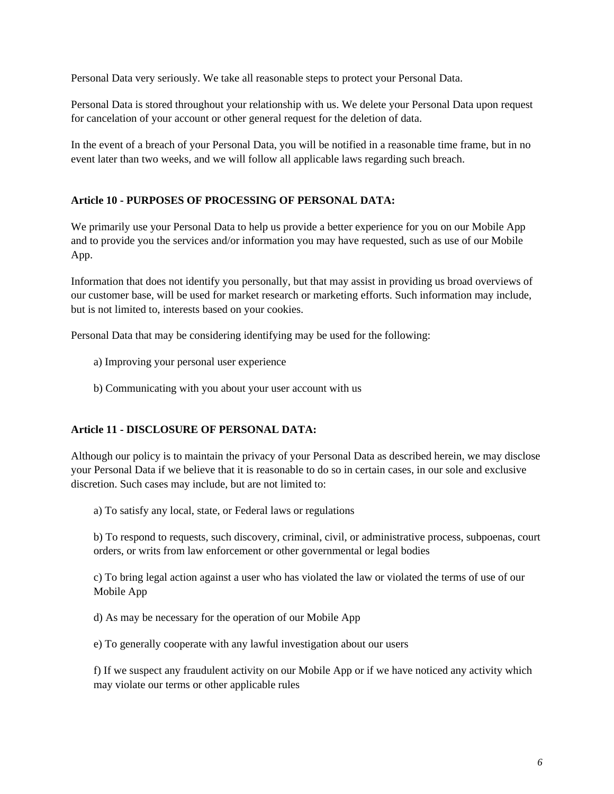Personal Data very seriously. We take all reasonable steps to protect your Personal Data.

Personal Data is stored throughout your relationship with us. We delete your Personal Data upon request for cancelation of your account or other general request for the deletion of data.

In the event of a breach of your Personal Data, you will be notified in a reasonable time frame, but in no event later than two weeks, and we will follow all applicable laws regarding such breach.

## **Article 10 - PURPOSES OF PROCESSING OF PERSONAL DATA:**

We primarily use your Personal Data to help us provide a better experience for you on our Mobile App and to provide you the services and/or information you may have requested, such as use of our Mobile App.

Information that does not identify you personally, but that may assist in providing us broad overviews of our customer base, will be used for market research or marketing efforts. Such information may include, but is not limited to, interests based on your cookies.

Personal Data that may be considering identifying may be used for the following:

- a) Improving your personal user experience
- b) Communicating with you about your user account with us

# **Article 11 - DISCLOSURE OF PERSONAL DATA:**

Although our policy is to maintain the privacy of your Personal Data as described herein, we may disclose your Personal Data if we believe that it is reasonable to do so in certain cases, in our sole and exclusive discretion. Such cases may include, but are not limited to:

a) To satisfy any local, state, or Federal laws or regulations

b) To respond to requests, such discovery, criminal, civil, or administrative process, subpoenas, court orders, or writs from law enforcement or other governmental or legal bodies

c) To bring legal action against a user who has violated the law or violated the terms of use of our Mobile App

d) As may be necessary for the operation of our Mobile App

e) To generally cooperate with any lawful investigation about our users

f) If we suspect any fraudulent activity on our Mobile App or if we have noticed any activity which may violate our terms or other applicable rules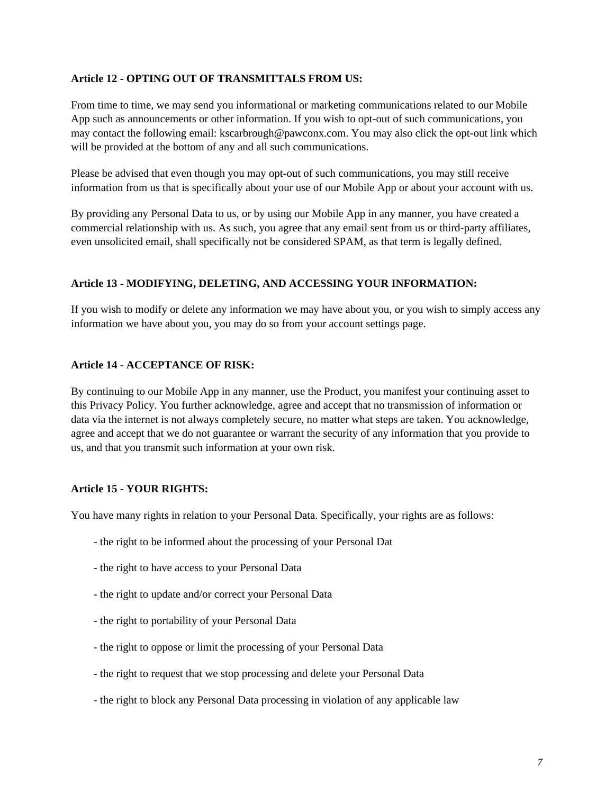### **Article 12 - OPTING OUT OF TRANSMITTALS FROM US:**

From time to time, we may send you informational or marketing communications related to our Mobile App such as announcements or other information. If you wish to opt-out of such communications, you may contact the following email: kscarbrough@pawconx.com. You may also click the opt-out link which will be provided at the bottom of any and all such communications.

Please be advised that even though you may opt-out of such communications, you may still receive information from us that is specifically about your use of our Mobile App or about your account with us.

By providing any Personal Data to us, or by using our Mobile App in any manner, you have created a commercial relationship with us. As such, you agree that any email sent from us or third-party affiliates, even unsolicited email, shall specifically not be considered SPAM, as that term is legally defined.

# **Article 13 - MODIFYING, DELETING, AND ACCESSING YOUR INFORMATION:**

If you wish to modify or delete any information we may have about you, or you wish to simply access any information we have about you, you may do so from your account settings page.

## **Article 14 - ACCEPTANCE OF RISK:**

By continuing to our Mobile App in any manner, use the Product, you manifest your continuing asset to this Privacy Policy. You further acknowledge, agree and accept that no transmission of information or data via the internet is not always completely secure, no matter what steps are taken. You acknowledge, agree and accept that we do not guarantee or warrant the security of any information that you provide to us, and that you transmit such information at your own risk.

# **Article 15 - YOUR RIGHTS:**

You have many rights in relation to your Personal Data. Specifically, your rights are as follows:

- the right to be informed about the processing of your Personal Dat
- the right to have access to your Personal Data
- the right to update and/or correct your Personal Data
- the right to portability of your Personal Data
- the right to oppose or limit the processing of your Personal Data
- the right to request that we stop processing and delete your Personal Data
- the right to block any Personal Data processing in violation of any applicable law